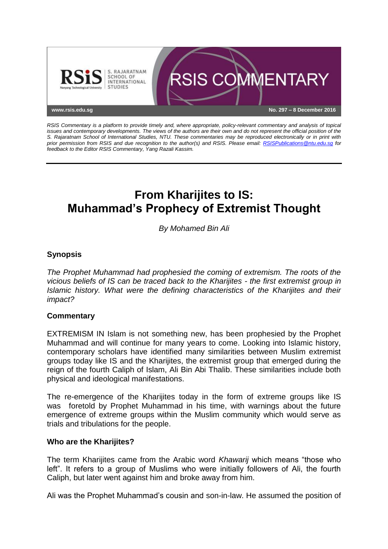

*RSIS Commentary is a platform to provide timely and, where appropriate, policy-relevant commentary and analysis of topical issues and contemporary developments. The views of the authors are their own and do not represent the official position of the S. Rajaratnam School of International Studies, NTU. These commentaries may be reproduced electronically or in print with prior permission from RSIS and due recognition to the author(s) and RSIS. Please email: [RSISPublications@ntu.edu.sg](mailto:RSISPublications@ntu.edu.sg) for feedback to the Editor RSIS Commentary, Yang Razali Kassim.*

# **From Kharijites to IS: Muhammad's Prophecy of Extremist Thought**

*By Mohamed Bin Ali*

# **Synopsis**

*The Prophet Muhammad had prophesied the coming of extremism. The roots of the vicious beliefs of IS can be traced back to the Kharijites - the first extremist group in Islamic history. What were the defining characteristics of the Kharijites and their impact?*

## **Commentary**

EXTREMISM IN Islam is not something new, has been prophesied by the Prophet Muhammad and will continue for many years to come. Looking into Islamic history, contemporary scholars have identified many similarities between Muslim extremist groups today like IS and the Kharijites, the extremist group that emerged during the reign of the fourth Caliph of Islam, Ali Bin Abi Thalib. These similarities include both physical and ideological manifestations.

The re-emergence of the Kharijites today in the form of extreme groups like IS was foretold by Prophet Muhammad in his time, with warnings about the future emergence of extreme groups within the Muslim community which would serve as trials and tribulations for the people.

#### **Who are the Kharijites?**

The term Kharijites came from the Arabic word *Khawarij* which means "those who left". It refers to a group of Muslims who were initially followers of Ali, the fourth Caliph, but later went against him and broke away from him.

Ali was the Prophet Muhammad's cousin and son-in-law. He assumed the position of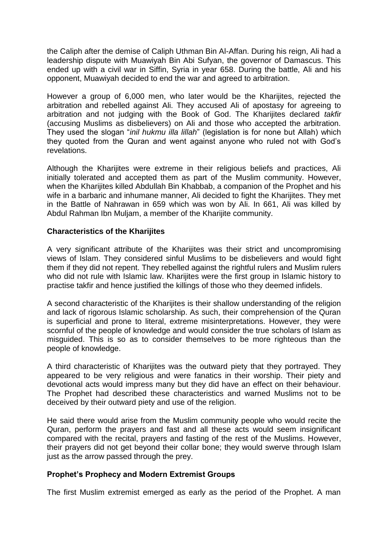the Caliph after the demise of Caliph Uthman Bin Al-Affan. During his reign, Ali had a leadership dispute with Muawiyah Bin Abi Sufyan, the governor of Damascus. This ended up with a civil war in Siffin, Syria in year 658. During the battle, Ali and his opponent, Muawiyah decided to end the war and agreed to arbitration.

However a group of 6,000 men, who later would be the Kharijites, rejected the arbitration and rebelled against Ali. They accused Ali of apostasy for agreeing to arbitration and not judging with the Book of God. The Kharijites declared *takfir* (accusing Muslims as disbelievers) on Ali and those who accepted the arbitration. They used the slogan "*inil hukmu illa lillah*" (legislation is for none but Allah) which they quoted from the Quran and went against anyone who ruled not with God's revelations.

Although the Kharijites were extreme in their religious beliefs and practices, Ali initially tolerated and accepted them as part of the Muslim community. However, when the Kharijites killed Abdullah Bin Khabbab, a companion of the Prophet and his wife in a barbaric and inhumane manner, Ali decided to fight the Kharijites. They met in the Battle of Nahrawan in 659 which was won by Ali. In 661, Ali was killed by Abdul Rahman Ibn Muljam, a member of the Kharijite community.

## **Characteristics of the Kharijites**

A very significant attribute of the Kharijites was their strict and uncompromising views of Islam. They considered sinful Muslims to be disbelievers and would fight them if they did not repent. They rebelled against the rightful rulers and Muslim rulers who did not rule with Islamic law. Kharijites were the first group in Islamic history to practise takfir and hence justified the killings of those who they deemed infidels.

A second characteristic of the Kharijites is their shallow understanding of the religion and lack of rigorous Islamic scholarship. As such, their comprehension of the Quran is superficial and prone to literal, extreme misinterpretations. However, they were scornful of the people of knowledge and would consider the true scholars of Islam as misguided. This is so as to consider themselves to be more righteous than the people of knowledge.

A third characteristic of Kharijites was the outward piety that they portrayed. They appeared to be very religious and were fanatics in their worship. Their piety and devotional acts would impress many but they did have an effect on their behaviour. The Prophet had described these characteristics and warned Muslims not to be deceived by their outward piety and use of the religion.

He said there would arise from the Muslim community people who would recite the Quran, perform the prayers and fast and all these acts would seem insignificant compared with the recital, prayers and fasting of the rest of the Muslims. However, their prayers did not get beyond their collar bone; they would swerve through Islam just as the arrow passed through the prey.

## **Prophet's Prophecy and Modern Extremist Groups**

The first Muslim extremist emerged as early as the period of the Prophet. A man